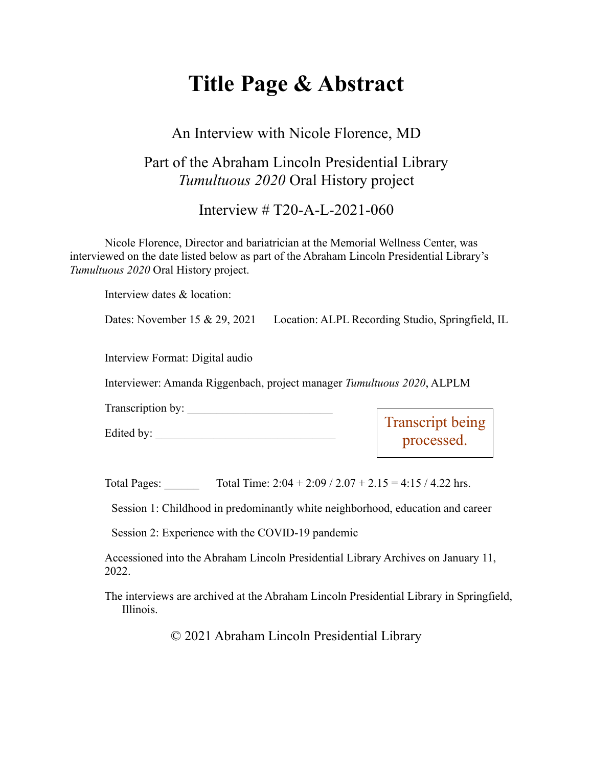# **Title Page & Abstract**

#### An Interview with Nicole Florence, MD

### Part of the Abraham Lincoln Presidential Library *Tumultuous 2020* Oral History project

Interview # T20-A-L-2021-060

Nicole Florence, Director and bariatrician at the Memorial Wellness Center, was interviewed on the date listed below as part of the Abraham Lincoln Presidential Library's *Tumultuous 2020* Oral History project.

Interview dates & location:

Dates: November 15 & 29, 2021 Location: ALPL Recording Studio, Springfield, IL

Interview Format: Digital audio

Interviewer: Amanda Riggenbach, project manager *Tumultuous 2020*, ALPLM

Transcription by:

Edited by:  $\Box$ 

Transcript being processed.

Total Pages: Total Time:  $2:04 + 2:09 / 2.07 + 2.15 = 4:15 / 4.22$  hrs.

Session 1: Childhood in predominantly white neighborhood, education and career

Session 2: Experience with the COVID-19 pandemic

Accessioned into the Abraham Lincoln Presidential Library Archives on January 11, 2022.

The interviews are archived at the Abraham Lincoln Presidential Library in Springfield, Illinois.

© 2021 Abraham Lincoln Presidential Library